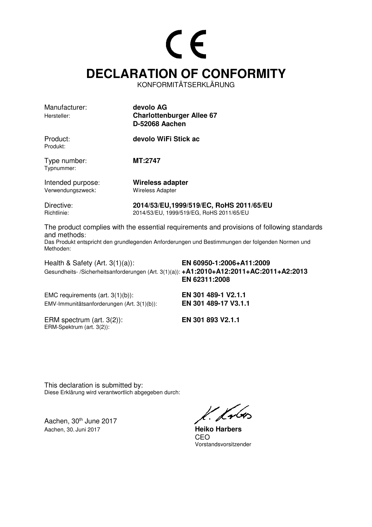## CE **DECLARATION OF CONFORMITY**

KONFORMITÄTSERKLÄRUNG

| Manufacturer:<br>Hersteller: | devolo AG<br><b>Charlottenburger Allee 67</b><br>D-52068 Aachen |
|------------------------------|-----------------------------------------------------------------|
| Product:<br>Produkt:         | devolo WiFi Stick ac                                            |
| Type number:<br>Typnummer:   | MT:2747                                                         |

Intended purpose: **Wireless adapter** Verwendungszweck: Wireless Adapter

Directive: **2014/53/EU,1999/519/EC, RoHS 2011/65/EU**  Richtlinie: 2014/53/EU, 1999/519/EG, RoHS 2011/65/EU

The product complies with the essential requirements and provisions of following standards and methods: Das Produkt entspricht den grundlegenden Anforderungen und Bestimmungen der folgenden Normen und Methoden:

Health & Safety (Art. 3(1)(a)): **EN 60950-1:2006+A11:2009**  Gesundheits- /Sicherheitsanforderungen (Art. 3(1)(a)): **+A1:2010+A12:2011+AC:2011+A2:2013 EN 62311:2008**

EMC requirements (art. 3(1)(b)): **EN 301 489-1 V2.1.1**  EMV-Immunitätsanforderungen (Art. 3(1)(b)): **EN 301 489-17 V3.1.1**

ERM spectrum (art. 3(2)): **EN 301 893 V2.1.1** ERM-Spektrum (art. 3(2)):

This declaration is submitted by: Diese Erklärung wird verantwortlich abgegeben durch:

Aachen, 30<sup>th</sup> June 2017 Aachen, 30. Juni 2017 **Heiko Harbers**

l. frbo

**CEO CEO** Vorstandsvorsitzender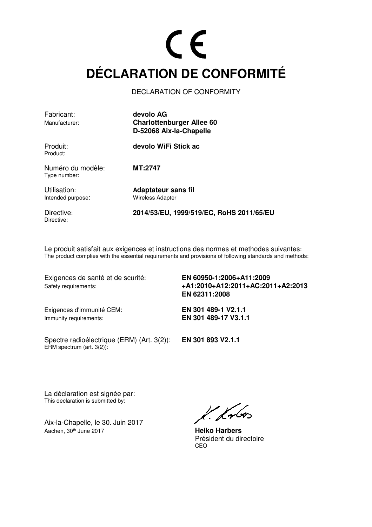### CE **DÉCLARATION DE CONFORMITÉ**

DECLARATION OF CONFORMITY

| Fabricant:<br>Manufacturer:       | devolo AG<br><b>Charlottenburger Allee 60</b><br>D-52068 Aix-la-Chapelle |
|-----------------------------------|--------------------------------------------------------------------------|
| Produit:<br>Product:              | devolo WiFi Stick ac                                                     |
| Numéro du modèle:<br>Type number: | <b>MT:2747</b>                                                           |
| Utilisation:<br>Intended purpose: | Adaptateur sans fil<br><b>Wireless Adapter</b>                           |

Directive:

Directive: **2014/53/EU, 1999/519/EC, RoHS 2011/65/EU** 

Le produit satisfait aux exigences et instructions des normes et methodes suivantes: The product complies with the essential requirements and provisions of following standards and methods:

Exigences de santé et de scurité: **EN 60950-1:2006+A11:2009** 

Safety requirements: **+A1:2010+A12:2011+AC:2011+A2:2013 EN 62311:2008**

Exigences d'immunité CEM: **EN 301 489-1 V2.1.1**  Immunity requirements: **EN 301 489-17 V3.1.1** 

Spectre radioélectrique (ERM) (Art. 3(2)): **EN 301 893 V2.1.1**   $ERM$  spectrum (art. 3(2)):

La déclaration est signée par: This declaration is submitted by:

Aix-la-Chapelle, le 30. Juin 2017 Aachen, 30<sup>th</sup> June 2017 **Heiko Harbers** 

 $k$  know

 Président du directoire <u>CEO de la contrada de la contrada de la contrada de la contrada de la contrada de la contrada de la con</u>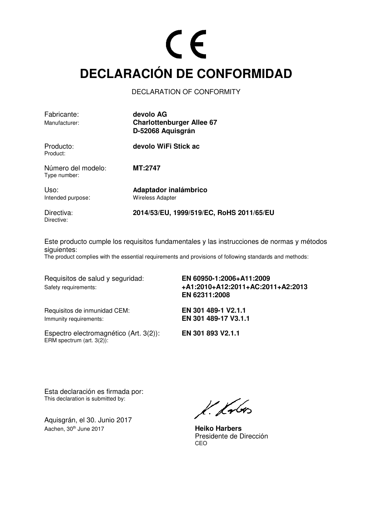### $\epsilon$ **DECLARACIÓN DE CONFORMIDAD**

#### DECLARATION OF CONFORMITY

| Fabricante:<br>Manufacturer:       | devolo AG<br><b>Charlottenburger Allee 67</b><br>D-52068 Aquisgrán |
|------------------------------------|--------------------------------------------------------------------|
| Producto:<br>Product:              | devolo WiFi Stick ac                                               |
| Número del modelo:<br>Type number: | <b>MT:2747</b>                                                     |
| Uso:<br>Intended purpose:          | Adaptador inalámbrico<br><b>Wireless Adapter</b>                   |
| Directiva:<br>Directive:           | 2014/53/EU, 1999/519/EC, RoHS 2011/65/EU                           |

Este producto cumple los requisitos fundamentales y las instrucciones de normas y métodos siguientes:

The product complies with the essential requirements and provisions of following standards and methods:

Requisitos de salud y seguridad: **EN 60950-1:2006+A11:2009**  Safety requirements: **+A1:2010+A12:2011+AC:2011+A2:2013 EN 62311:2008**

Requisitos de inmunidad CEM: **EN 301 489-1 V2.1.1**  Immunity requirements: **EN 301 489-17 V3.1.1**

Espectro electromagnético (Art. 3(2)): **EN 301 893 V2.1.1**  ERM spectrum (art. 3(2)):

Esta declaración es firmada por: This declaration is submitted by:

Aquisgrán, el 30. Junio 2017 Aachen, 30<sup>th</sup> June 2017 **Heiko Harbers** 

 $k$  from

Presidente de Dirección<br>CEO <u>CEO de la contrada de la contrada de la contrada de la contrada de la contrada de la contrada de la con</u>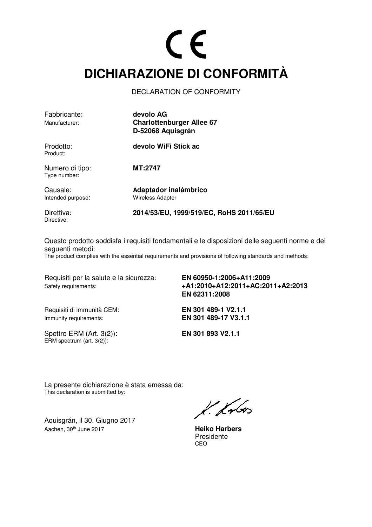### CE **DICHIARAZIONE DI CONFORMITÀ**

#### DECLARATION OF CONFORMITY

| Fabbricante:<br>Manufacturer:   | devolo AG<br><b>Charlottenburger Allee 67</b><br>D-52068 Aquisgrán |
|---------------------------------|--------------------------------------------------------------------|
| Prodotto:<br>Product:           | devolo WiFi Stick ac                                               |
| Numero di tipo:<br>Type number: | MT:2747                                                            |
| Causale:<br>Intended purpose:   | Adaptador inalámbrico<br><b>Wireless Adapter</b>                   |
| Direttiva:                      | 2014/53/EU, 1999/519/EC, RoHS 2011/65/EU                           |

Questo prodotto soddisfa i requisiti fondamentali e le disposizioni delle seguenti norme e dei seguenti metodi:

The product complies with the essential requirements and provisions of following standards and methods:

Requisiti per la salute e la sicurezza: **EN 60950-1:2006+A11:2009**  Safety requirements: **+A1:2010+A12:2011+AC:2011+A2:2013**

Requisiti di immunità CEM: **EN 301 489-1 V2.1.1**  Immunity requirements: **EN 301 489-17 V3.1.1** 

Directive:

**EN 62311:2008**

Spettro ERM (Art. 3(2)): **EN 301 893 V2.1.1**  ERM spectrum (art. 3(2)):

La presente dichiarazione è stata emessa da: This declaration is submitted by:

Aquisgrán, il 30. Giugno 2017 Aachen, 30<sup>th</sup> June 2017 **Heiko Harbers** 

 $k.$  from

Presidente<br>CEO <u>CEO de la contrada de la contrada de la contrada de la contrada de la contrada de la contrada de la con</u>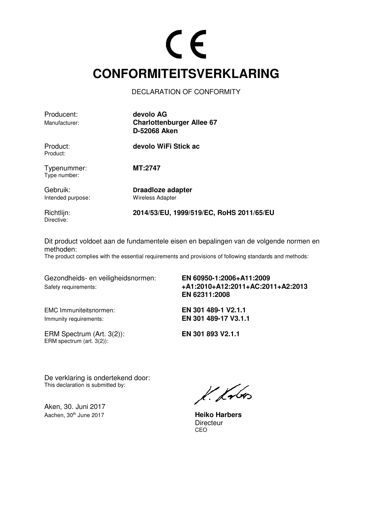### CE **CONFORMITEITSVERKLARING**

DECLARATION OF CONFORMITY

| Producent:<br>Manufacturer:   | devolo AG<br><b>Charlottenburger Allee 67</b><br>D-52068 Aken |
|-------------------------------|---------------------------------------------------------------|
| Product:<br>Product:          | devolo WiFi Stick ac                                          |
| Typenummer:<br>Type number:   | MT:2747                                                       |
| Gebruik:<br>Intended purpose: | Draadloze adapter<br><b>Wireless Adapter</b>                  |

Richtlijn: **2014/53/EU, 1999/519/EC, RoHS 2011/65/EU**  Directive:

Dit product voldoet aan de fundamentele eisen en bepalingen van de volgende normen en methoden:

The product complies with the essential requirements and provisions of following standards and methods:

Gezondheids- en veiligheidsnormen: **EN 60950-1:2006+A11:2009** 

Safety requirements: **+A1:2010+A12:2011+AC:2011+A2:2013 EN 62311:2008**

Immunity requirements: **EN 301 489-17 V3.1.1**

EMC Immuniteitsnormen: **EN 301 489-1 V2.1.1** 

ERM Spectrum (Art. 3(2)): **EN 301 893 V2.1.1**  ERM spectrum (art. 3(2)):

De verklaring is ondertekend door: This declaration is submitted by:

Aken, 30. Juni 2017 Aachen, 30<sup>th</sup> June 2017 **Heiko Harbers** 

 $k$  from

Directeur<br>CEO <u>CEO de la contrada de la contrada de la contrada de la contrada de la contrada de la contrada de la con</u>